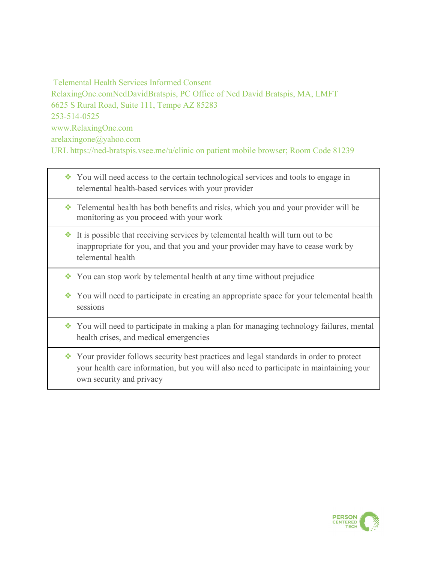Telemental Health Services Informed Consent RelaxingOne.comNedDavidBratspis, PC Office of Ned David Bratspis, MA, LMFT 6625 S Rural Road, Suite 111, Tempe AZ 85283 253-514-0525 www.RelaxingOne.com arelaxingone@yahoo.com URL https://ned-bratspis.vsee.me/u/clinic on patient mobile browser; Room Code 81239

- ❖ You will need access to the certain technological services and tools to engage in telemental health-based services with your provider
- ❖ Telemental health has both benefits and risks, which you and your provider will be monitoring as you proceed with your work
- ❖ It is possible that receiving services by telemental health will turn out to be inappropriate for you, and that you and your provider may have to cease work by telemental health
- ❖ You can stop work by telemental health at any time without prejudice
- ❖ You will need to participate in creating an appropriate space for your telemental health sessions
- ❖ You will need to participate in making a plan for managing technology failures, mental health crises, and medical emergencies
- ❖ Your provider follows security best practices and legal standards in order to protect your health care information, but you will also need to participate in maintaining your own security and privacy

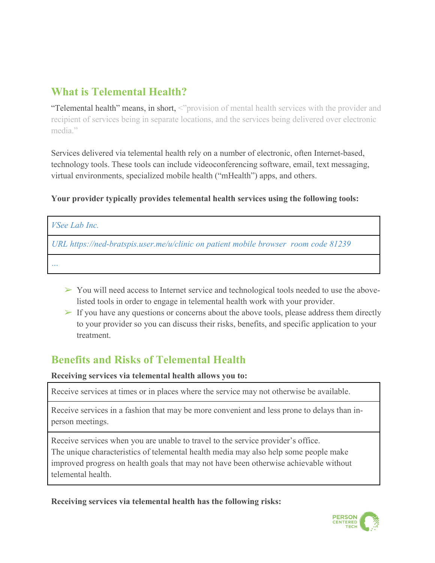### **What is Telemental Health?**

"Telemental health" means, in short, <"provision of mental health services with the provider and recipient of services being in separate locations, and the services being delivered over electronic media."

Services delivered via telemental health rely on a number of electronic, often Internet-based, technology tools. These tools can include videoconferencing software, email, text messaging, virtual environments, specialized mobile health ("mHealth") apps, and others.

#### **Your provider typically provides telemental health services using the following tools:**

| <i>VSee Lab Inc.</i>                                                                |
|-------------------------------------------------------------------------------------|
| URL https://ned-bratspis.user.me/u/clinic on patient mobile browser room code 81239 |
| $\sim$ $\sim$ $\sim$                                                                |

- $\triangleright$  You will need access to Internet service and technological tools needed to use the abovelisted tools in order to engage in telemental health work with your provider.
- $\triangleright$  If you have any questions or concerns about the above tools, please address them directly to your provider so you can discuss their risks, benefits, and specific application to your treatment.

# **Benefits and Risks of Telemental Health**

**Receiving services via telemental health allows you to:** 

Receive services at times or in places where the service may not otherwise be available.

Receive services in a fashion that may be more convenient and less prone to delays than inperson meetings.

Receive services when you are unable to travel to the service provider's office. The unique characteristics of telemental health media may also help some people make improved progress on health goals that may not have been otherwise achievable without telemental health.

**Receiving services via telemental health has the following risks:** 

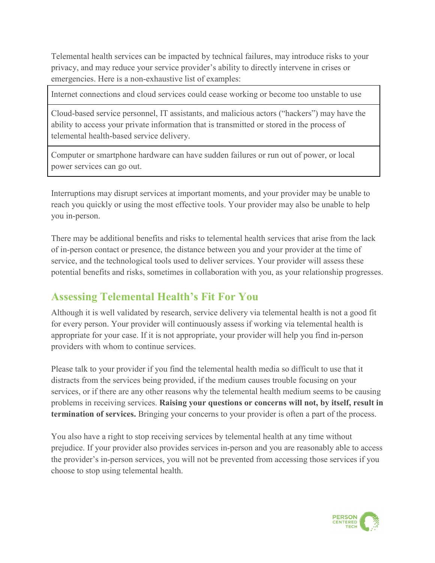Telemental health services can be impacted by technical failures, may introduce risks to your privacy, and may reduce your service provider's ability to directly intervene in crises or emergencies. Here is a non-exhaustive list of examples:

Internet connections and cloud services could cease working or become too unstable to use

Cloud-based service personnel, IT assistants, and malicious actors ("hackers") may have the ability to access your private information that is transmitted or stored in the process of telemental health-based service delivery.

Computer or smartphone hardware can have sudden failures or run out of power, or local power services can go out.

Interruptions may disrupt services at important moments, and your provider may be unable to reach you quickly or using the most effective tools. Your provider may also be unable to help you in-person.

There may be additional benefits and risks to telemental health services that arise from the lack of in-person contact or presence, the distance between you and your provider at the time of service, and the technological tools used to deliver services. Your provider will assess these potential benefits and risks, sometimes in collaboration with you, as your relationship progresses.

#### **Assessing Telemental Health's Fit For You**

Although it is well validated by research, service delivery via telemental health is not a good fit for every person. Your provider will continuously assess if working via telemental health is appropriate for your case. If it is not appropriate, your provider will help you find in-person providers with whom to continue services.

Please talk to your provider if you find the telemental health media so difficult to use that it distracts from the services being provided, if the medium causes trouble focusing on your services, or if there are any other reasons why the telemental health medium seems to be causing problems in receiving services. **Raising your questions or concerns will not, by itself, result in termination of services.** Bringing your concerns to your provider is often a part of the process.

You also have a right to stop receiving services by telemental health at any time without prejudice. If your provider also provides services in-person and you are reasonably able to access the provider's in-person services, you will not be prevented from accessing those services if you choose to stop using telemental health.

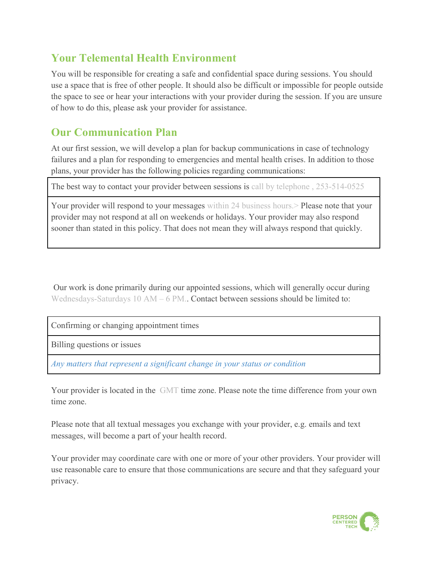### **Your Telemental Health Environment**

You will be responsible for creating a safe and confidential space during sessions. You should use a space that is free of other people. It should also be difficult or impossible for people outside the space to see or hear your interactions with your provider during the session. If you are unsure of how to do this, please ask your provider for assistance.

# **Our Communication Plan**

At our first session, we will develop a plan for backup communications in case of technology failures and a plan for responding to emergencies and mental health crises. In addition to those plans, your provider has the following policies regarding communications:

The best way to contact your provider between sessions is call by telephone , 253-514-0525

Your provider will respond to your messages within 24 business hours. > Please note that your provider may not respond at all on weekends or holidays. Your provider may also respond sooner than stated in this policy. That does not mean they will always respond that quickly.

Our work is done primarily during our appointed sessions, which will generally occur during Wednesdays-Saturdays  $10$  AM – 6 PM.. Contact between sessions should be limited to:

Confirming or changing appointment times

Billing questions or issues

*Any matters that represent a significant change in your status or condition*

Your provider is located in the GMT time zone. Please note the time difference from your own time zone.

Please note that all textual messages you exchange with your provider, e.g. emails and text messages, will become a part of your health record.

Your provider may coordinate care with one or more of your other providers. Your provider will use reasonable care to ensure that those communications are secure and that they safeguard your privacy.

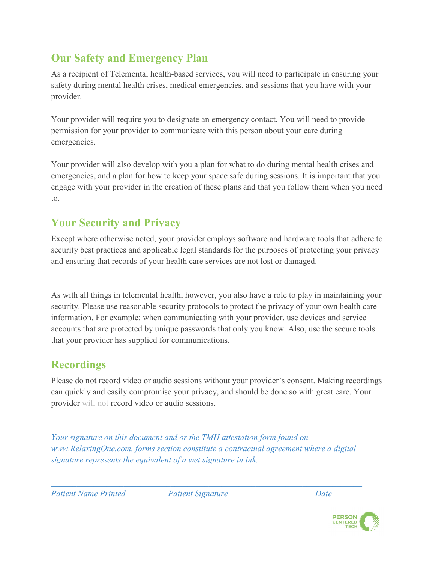# **Our Safety and Emergency Plan**

As a recipient of Telemental health-based services, you will need to participate in ensuring your safety during mental health crises, medical emergencies, and sessions that you have with your provider.

Your provider will require you to designate an emergency contact. You will need to provide permission for your provider to communicate with this person about your care during emergencies.

Your provider will also develop with you a plan for what to do during mental health crises and emergencies, and a plan for how to keep your space safe during sessions. It is important that you engage with your provider in the creation of these plans and that you follow them when you need to.

# **Your Security and Privacy**

Except where otherwise noted, your provider employs software and hardware tools that adhere to security best practices and applicable legal standards for the purposes of protecting your privacy and ensuring that records of your health care services are not lost or damaged.

As with all things in telemental health, however, you also have a role to play in maintaining your security. Please use reasonable security protocols to protect the privacy of your own health care information. For example: when communicating with your provider, use devices and service accounts that are protected by unique passwords that only you know. Also, use the secure tools that your provider has supplied for communications.

# **Recordings**

Please do not record video or audio sessions without your provider's consent. Making recordings can quickly and easily compromise your privacy, and should be done so with great care. Your provider will not record video or audio sessions.

*Your signature on this document and or the TMH attestation form found on www.RelaxingOne.com, forms section constitute a contractual agreement where a digital signature represents the equivalent of a wet signature in ink.* 

*Patient Name Printed Patient Signature Date*